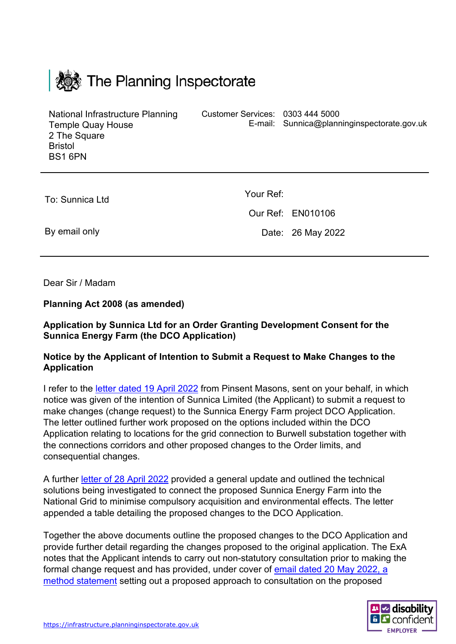| <b>Konden The Planning Inspectorate</b>                                                                          |                                  |                                             |
|------------------------------------------------------------------------------------------------------------------|----------------------------------|---------------------------------------------|
| National Infrastructure Planning<br><b>Temple Quay House</b><br>2 The Square<br><b>Bristol</b><br><b>BS1 6PN</b> | Customer Services: 0303 444 5000 | E-mail: Sunnica@planninginspectorate.gov.uk |
| To: Sunnica Ltd                                                                                                  | Your Ref:<br>Our Ref: EN010106   |                                             |

By email only

 $\mathbf{1}$  and  $\mathbf{1}$ 

Date: 26 May 2022

Dear Sir / Madam

#### **Planning Act 2008 (as amended)**

### **Application by Sunnica Ltd for an Order Granting Development Consent for the Sunnica Energy Farm (the DCO Application)**

#### **Notice by the Applicant of Intention to Submit a Request to Make Changes to the Application**

I refer to the [letter dated 19 April 2022](https://infrastructure.planninginspectorate.gov.uk/wp-content/ipc/uploads/projects/EN010106/EN010106-002182-PINS%20letter%2019%20April%202022%20131634189.3.pdf) from Pinsent Masons, sent on your behalf, in which notice was given of the intention of Sunnica Limited (the Applicant) to submit a request to make changes (change request) to the Sunnica Energy Farm project DCO Application. The letter outlined further work proposed on the options included within the DCO Application relating to locations for the grid connection to Burwell substation together with the connections corridors and other proposed changes to the Order limits, and consequential changes.

A further [letter of 28 April 2022](https://infrastructure.planninginspectorate.gov.uk/wp-content/ipc/uploads/projects/EN010106/EN010106-002189-Letter%20to%20PINS%2028.04.22.pdf) provided a general update and outlined the technical solutions being investigated to connect the proposed Sunnica Energy Farm into the National Grid to minimise compulsory acquisition and environmental effects. The letter appended a table detailing the proposed changes to the DCO Application.

Together the above documents outline the proposed changes to the DCO Application and provide further detail regarding the changes proposed to the original application. The ExA notes that the Applicant intends to carry out non-statutory consultation prior to making the formal change request and has provided, under cover of [email dated 20 May 2022, a](https://infrastructure.planninginspectorate.gov.uk/wp-content/ipc/uploads/projects/EN010106/EN010106-002466-Sunnica%20-%20Method%20Statement%20consultation%20on%20proposed%20changes%20to%20DCO%20application.pdf)  [method statement](https://infrastructure.planninginspectorate.gov.uk/wp-content/ipc/uploads/projects/EN010106/EN010106-002466-Sunnica%20-%20Method%20Statement%20consultation%20on%20proposed%20changes%20to%20DCO%20application.pdf) setting out a proposed approach to consultation on the proposed

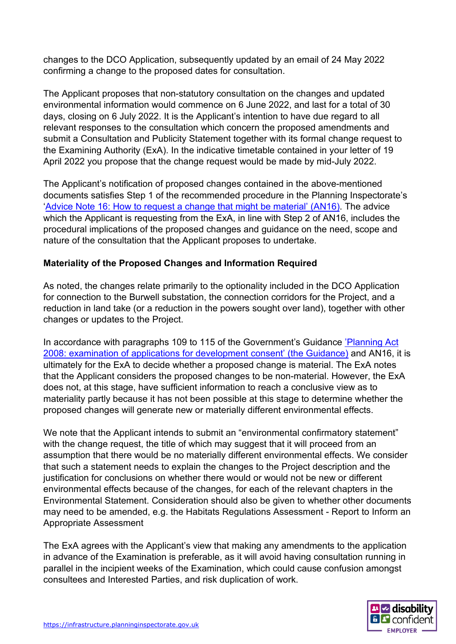changes to the DCO Application, subsequently updated by an email of 24 May 2022 confirming a change to the proposed dates for consultation.

The Applicant proposes that non-statutory consultation on the changes and updated environmental information would commence on 6 June 2022, and last for a total of 30 days, closing on 6 July 2022. It is the Applicant's intention to have due regard to all relevant responses to the consultation which concern the proposed amendments and submit a Consultation and Publicity Statement together with its formal change request to the Examining Authority (ExA). In the indicative timetable contained in your letter of 19 April 2022 you propose that the change request would be made by mid-July 2022.

The Applicant's notification of proposed changes contained in the above-mentioned documents satisfies Step 1 of the recommended procedure in the Planning Inspectorate's ['Advice Note 16: How to request a change that might be material' \(AN16\).](https://infrastructure.planninginspectorate.gov.uk/legislation-and-advice/advice-notes/advice-note-16/) The advice which the Applicant is requesting from the ExA, in line with Step 2 of AN16, includes the procedural implications of the proposed changes and guidance on the need, scope and nature of the consultation that the Applicant proposes to undertake.

# **Materiality of the Proposed Changes and Information Required**

As noted, the changes relate primarily to the optionality included in the DCO Application for connection to the Burwell substation, the connection corridors for the Project, and a reduction in land take (or a reduction in the powers sought over land), together with other changes or updates to the Project.

In accordance with paragraphs 109 to 115 of the Government's Guidance 'Planning Act [2008: examination of applications for development consent' \(the Guidance\)](https://www.gov.uk/government/publications/planning-act-2008-examination-of-applications-for-development-consent) and AN16, it is ultimately for the ExA to decide whether a proposed change is material. The ExA notes that the Applicant considers the proposed changes to be non-material. However, the ExA does not, at this stage, have sufficient information to reach a conclusive view as to materiality partly because it has not been possible at this stage to determine whether the proposed changes will generate new or materially different environmental effects.

We note that the Applicant intends to submit an "environmental confirmatory statement" with the change request, the title of which may suggest that it will proceed from an assumption that there would be no materially different environmental effects. We consider that such a statement needs to explain the changes to the Project description and the justification for conclusions on whether there would or would not be new or different environmental effects because of the changes, for each of the relevant chapters in the Environmental Statement. Consideration should also be given to whether other documents may need to be amended, e.g. the Habitats Regulations Assessment - Report to Inform an Appropriate Assessment

The ExA agrees with the Applicant's view that making any amendments to the application in advance of the Examination is preferable, as it will avoid having consultation running in parallel in the incipient weeks of the Examination, which could cause confusion amongst consultees and Interested Parties, and risk duplication of work.

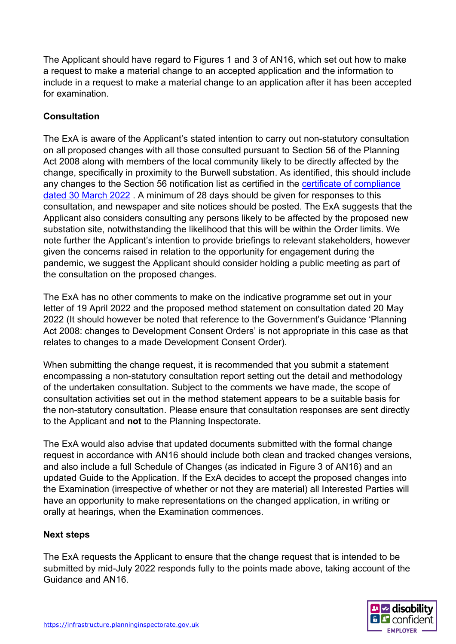The Applicant should have regard to Figures 1 and 3 of AN16, which set out how to make a request to make a material change to an accepted application and the information to include in a request to make a material change to an application after it has been accepted for examination.

# **Consultation**

The ExA is aware of the Applicant's stated intention to carry out non-statutory consultation on all proposed changes with all those consulted pursuant to Section 56 of the Planning Act 2008 along with members of the local community likely to be directly affected by the change, specifically in proximity to the Burwell substation. As identified, this should include any changes to the Section 56 notification list as certified in the [certificate of compliance](https://infrastructure.planninginspectorate.gov.uk/wp-content/ipc/uploads/projects/EN010106/EN010106-002166-S58%20Certificate%20of%20compliance%20with%20s56%20FINAL.pdf)  [dated 30 March 2022](https://infrastructure.planninginspectorate.gov.uk/wp-content/ipc/uploads/projects/EN010106/EN010106-002166-S58%20Certificate%20of%20compliance%20with%20s56%20FINAL.pdf) . A minimum of 28 days should be given for responses to this consultation, and newspaper and site notices should be posted. The ExA suggests that the Applicant also considers consulting any persons likely to be affected by the proposed new substation site, notwithstanding the likelihood that this will be within the Order limits. We note further the Applicant's intention to provide briefings to relevant stakeholders, however given the concerns raised in relation to the opportunity for engagement during the pandemic, we suggest the Applicant should consider holding a public meeting as part of the consultation on the proposed changes.

The ExA has no other comments to make on the indicative programme set out in your letter of 19 April 2022 and the proposed method statement on consultation dated 20 May 2022 (It should however be noted that reference to the Government's Guidance 'Planning Act 2008: changes to Development Consent Orders' is not appropriate in this case as that relates to changes to a made Development Consent Order).

When submitting the change request, it is recommended that you submit a statement encompassing a non-statutory consultation report setting out the detail and methodology of the undertaken consultation. Subject to the comments we have made, the scope of consultation activities set out in the method statement appears to be a suitable basis for the non-statutory consultation. Please ensure that consultation responses are sent directly to the Applicant and **not** to the Planning Inspectorate.

The ExA would also advise that updated documents submitted with the formal change request in accordance with AN16 should include both clean and tracked changes versions, and also include a full Schedule of Changes (as indicated in Figure 3 of AN16) and an updated Guide to the Application. If the ExA decides to accept the proposed changes into the Examination (irrespective of whether or not they are material) all Interested Parties will have an opportunity to make representations on the changed application, in writing or orally at hearings, when the Examination commences.

### **Next steps**

The ExA requests the Applicant to ensure that the change request that is intended to be submitted by mid-July 2022 responds fully to the points made above, taking account of the Guidance and AN16.